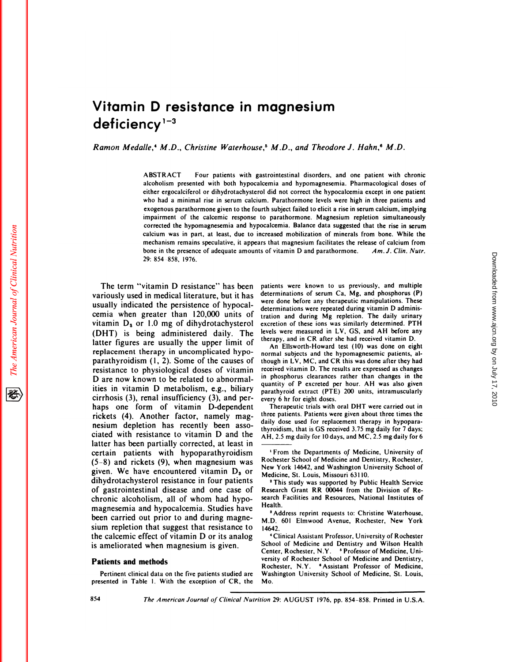# **Vitamin D resistance in magnesium** Vitamin D resistance in magnesium<br>deficiency<sup>1-3</sup><br>Ramon Medalle,<sup>4</sup> M.D., Christine Waterhouse,<sup>5</sup> M.D., and Theodore J. Hahn,<sup>6</sup> M.D.

lle,<sup>4</sup> M.D., Christine Waterhouse,<sup>5</sup> M.D., and Theodore J. Hahn,<sup>6</sup> M.D.<br>ABSTRACT Four patients with gastrointestinal disorders, and one patient with chronic<br>alcoholism presented with both hypocalcemia and hypomagnesemia ABSTRACT Four patients with gastrointestinal disorders, and one patient with chronic<br>alcoholism presented with both hypocalcemia and hypomagnesemia. Pharmacological doses of<br>either ergocalciferol or dihydrotachysterol did ABSTRACT Four patients with gastrointestinal disorders, and one patient with chronic<br>alcoholism presented with both hypocalcemia and hypomagnesemia. Pharmacological doses of<br>either ergocalciferol or dihydrotachysterol did exogenous presented with both hypocalcemia and hypomagnesemia. Pharmacological doses of either ergocalciferol or dihydrotachysterol did not correct the hypocalcemia except in one patient who had a minimal rise in serum cal either ergocalciferol or dihydrotachysterol did not correct the hypocalcemia except in one patient who had a minimal rise in serum calcium. Parathormone levels were high in three patients and exogenous parathormone given t who had a minimal rise in serum calcium. Parathormone levels were high in three patients and<br>exogenous parathormone given to the fourth subject failed to elicit a rise in serum calcium, implying<br>impairment of the calcemic mipariment of the catemic response to parathormone. Magnesium repletion simulativeously<br>corrected the hypomagnesemia and hypocalcemia. Balance data suggested that the rise in serum<br>mechanism remains speculative, it appear calcium was in part, at least, due to increased mobilization of minerals from bone. While the mechanism remains speculative, it appears that magnesium facilitates the release of calcium from bone in the presence of adequa model in the presence of adequate amounts of vi<br>bone in the presence of adequate amounts of vi<br>29: 854-858, 1976.<br>The term "vitamin D resistance" has been patier<br>riously used in medical literature, but it has

29: 854-858, 1976.<br>
The term "vitamin D resistance" has been patie<br>
variously used in medical literature, but it has deter<br>
usually indicated the persistence of hypocal-The term "vitamin D resistance" has b<br>variously used in medical literature, but it is<br>usually indicated the persistence of hypoc<br>cemia when greater than  $120,000$  units The term "vitamin D resistance" has been p<br>variously used in medical literature, but it has dusually indicated the persistence of hypocal-<br>cemia when greater than 120,000 units of the<br>vitamin D<sub>3</sub> or 1.0 mg of dihydrotach The term "vitamin D resistance" has been variously used in medical literature, but it usually indicated the persistence of hypocemia when greater than 120,000 units vitamin  $D_3$  or 1.0 mg of dihydrotachyst (DHT) is being variously used in medical literature, but it has<br>usually indicated the persistence of hypocal-<br>cemia when greater than 120,000 units of tratio<br>vitamin  $D_s$  or 1.0 mg of dihydrotachysterol excree<br>(DHT) is being administere usually indicated the persistence of hypocal-<br>cemia when greater than 120,000 units of the<br>vitamin  $D_3$  or 1.0 mg of dihydrotachysterol e<br>(DHT) is being administered daily. The <sup>le</sup><br>latter figures are usually the upper l vitamin  $D_3$  or 1.0 mg of dihydrotachysterol (DHT) is being administered daily. The latter figures are usually the upper limit of replacement therapy in uncomplicated hypovitamin  $D_3$  or 1.0 mg of dihydrotachysterol e.<br>(DHT) is being administered daily. The <sup>le</sup><br>latter figures are usually the upper limit of<br>replacement therapy in uncomplicated hypo-<br>parathyroidism (1, 2). Some of the caus (DHT) is being administered daily. The leve<br>latter figures are usually the upper limit of the<br>replacement therapy in uncomplicated hypo-<br>parathyroidism (1, 2). Some of the causes of the<br>resistance to physiological doses o latter figures are usually the upper limi<br>replacement therapy in uncomplicated hy<br>parathyroidism (1, 2). Some of the cause<br>resistance to physiological doses of vita<br>D are now known to be related to abnorr<br>ities in vitamin replacement therapy in uncomplicated hypo-<br>parathyroidism (1, 2). Some of the causes of the<br>resistance to physiological doses of vitamin rec<br>D are now known to be related to abnormal-<br>ities in vitamin D metabolism, e.g., parathyroidism  $(1, 2)$ . Some of the causes of<br>resistance to physiological doses of vitamin<br>D are now known to be related to abnormal-<br>ities in vitamin D metabolism, e.g., biliary<br>cirrhosis (3), renal insufficiency (3), a resistance to physiological doses of vitamin<br>D are now known to be related to abnormal-<br>ities in vitamin D metabolism, e.g., biliary<br>cirrhosis (3), renal insufficiency (3), and per-<br>haps one form of vitamin D-dependent<br>ric D are now known to be related to abnormal<br>ities in vitamin D metabolism, e.g., biliary<br>cirrhosis (3), renal insufficiency (3), and per<br>haps one form of vitamin D-dependen<br>rickets (4). Another factor, namely mag<br>nesium depl ities in vitamin D metabolism, e.g., biliar<br>cirrhosis (3), renal insufficiency (3), and per<br>haps one form of vitamin D-dependen<br>rickets (4). Another factor, namely mag<br>nesium depletion has recently been asso-<br>ciated with r cirrhosis (3), renal insufficiency (3), and per-<br>haps one form of vitamin D-dependent The<br>rickets (4). Another factor, namely mag-<br>nesium depletion has recently been asso-<br>ciated with resistance to vitamin D and the  $_{\text{$ cirrhosis (3), renal insufficiency (3), and per-<br>
haps one form of vitamin D-dependent Therapeutic trials with oral DHT were carried out in<br>
rickets (4). Another factor, namely mag-<br>
three patients. Patients were given ab rickets (4). Another factor, namely mag-<br>nesium depletion has recently been asso-<br>ciated with resistance to vitamin D and the<br>latter has been partially corrected, at least in<br>certain patients with hypoparathyroidism<br> $(5-8$ nesium depletion has recently been asso-<br>ciated with resistance to vitamin D and the AH,<br>latter has been partially corrected, at least in —<br>certain patients with hypoparathyroidism<br>(5-8) and rickets (9), when magnesium wa ciated with resistance to vitamin D and the  $\frac{m}{A}$ <br>latter has been partially corrected, at least in —<br>certain patients with hypoparathyroidism<br>(5–8) and rickets (9), when magnesium was R<br>given. We have encountered vita latter has been partially corrected, at least in<br>certain patients with hypoparathyroidism<br> $(5-8)$  and rickets (9), when magnesium was<br>given. We have encountered vitamin  $D_3$  or<br>dihydrotachysterol resistance in four patie certain patients with hypoparathyroidism<br>  $(5-8)$  and rickets (9), when magnesium was<br>
given. We have encountered vitamin  $D_3$  or<br>
dihydrotachysterol resistance in four patients<br>
of gastrointestinal disease and one case  $(5-8)$  and rickets  $(9)$ , when magnesium was<br>given. We have encountered vitamin  $D_3$  or<br>dihydrotachysterol resistance in four patients<br>of gastrointestinal disease and one case of<br>chronic alcoholism, all of whom had hypo given. We have encountered vitamin  $D_3$  or Medi<br>dihydrotachysterol resistance in four patients  $\frac{P_1}{P_2}$ <br>of gastrointestinal disease and one case of Rese-<br>chronic alcoholism, all of whom had hypo-<br>magnesemia and hypo dihydrotachysterol resistance in four patier<br>of gastrointestinal disease and one case<br>chronic alcoholism, all of whom had hyp<br>magnesemia and hypocalcemia. Studies ha<br>been carried out prior to and during magr<br>sium repletion of gastrointestinal disease and one case of Research<br>chronic alcoholism, all of whom had hypo-<br>magnesemia and hypocalcemia. Studies have<br>been carried out prior to and during magne-<br>sium repletion that suggest that resistan chronic alcoholism, all of whom had hypo-<br>magnesemia and hypocalcemia. Studies have<br>been carried out prior to and during magne-<br>sium repletion that suggest that resistance to<br>the calcemic effect of vitamin D or its analog<br> magnesemia and hypocalcemia. Studies have<br>been carried out prior to and during magn<br>sium repletion that suggest that resistance<br>the calcemic effect of vitamin D or its analo<br>is ameliorated when magnesium is given. **Patients and methods** been carried out prior to and during magne-<br> **PATEL AND AND ELEMWOOD AVENUE, ROCHESTER, New York**<br> **Patient calcemic effect of vitamin D or its analog**<br> **Patient clinical Assistant Professor, Univers** 

**presented in Table** I. With **the exception of** CR, the

patients were known to us previously, and multiple<br>determinations of serum Ca, Mg, and phosphorus (P) patients were known to us previously, and multiple<br>determinations of serum Ca, Mg, and phosphorus (P)<br>were done before any therapeutic manipulations. These patients were known to us previously, and multiple<br>determinations of serum Ca, Mg, and phosphorus (P)<br>were done before any therapeutic manipulations. These<br>determinations were repeated during vitamin D adminispatients were known to us previously, and multideterminations of serum Ca, Mg, and phosphorus<br>were done before any therapeutic manipulations. The<br>determinations were repeated during vitamin D adminitration and during Mg re determinations of serum Ca, Mg, and phosphorus (P)<br>were done before any therapeutic manipulations. These<br>determinations were repeated during vitamin D adminis-<br>tration and during Mg repletion. The daily urinary<br>excretion o determinations of serum Ca, Mg, and phosphorus (P)<br>were done before any therapeutic manipulations. These<br>determinations were repeated during vitamin D adminis-<br>tration and during Mg repletion. The daily urinary<br>excretion o were done before any therapeutic manipulations. These<br>determinations were repeated during vitamin D adminis-<br>tration and during Mg repletion. The daily urinary<br>excretion of these ions was similarly determined. PTH<br>levels w determinations were repeated during vitamin D administration and during Mg repletion. The daily urinary excretion of these ions was similarly determined. PTH levels were measured in LV, GS, and A before any therapy, and in tion and during Mg repletion. The daily urinary<br>retion of these ions was similarly determined. PTH<br>els were measured in LV, GS, and AH before any<br>rapy, and in CR after she had received vitamin D.<br>An Ellsworth-Howard test (

excretion of these ions was similarly determined. PTH<br>levels were measured in LV, GS, and AH before any<br>therapy, and in CR after she had received vitamin D.<br>An Ellsworth-Howard test (10) was done on eight<br>normal subjects a levels were measured in LV, GS, and AH before any<br>therapy, and in CR after she had received vitamin D.<br>An Ellsworth-Howard test (10) was done on eight<br>normal subjects and the hypomagnesemic patients, al-<br>though in LV, MC, therapy, and in CR after she had received vitamin D.<br>
An Ellsworth-Howard test (10) was done on eight<br>
normal subjects and the hypomagnesemic patients, al-<br>
though in LV, MC, and CR this was done after they had<br>
received v An Ellsworth-Howard test (10) was done on eight<br>normal subjects and the hypomagnesemic patients, al-<br>though in LV, MC, and CR this was done after they had<br>received vitamin D. The results are expressed as changes<br>in phosph normal subjects and the hypomagnesemic patients, although in LV, MC, and CR this was done after they had<br>received vitamin D. The results are expressed as changes<br>in phosphorus clearances rather than changes in the<br>pantity though in LV, MC, and CR this was done after they have<br>received vitamin D. The results are expressed as change<br>in phosphorus clearances rather than changes in th<br>quantity of P excreted per hour. AH was also give<br>parathyroi received vitamin D. The resu<br>in phosphorus clearances r<br>parathyroid extract (PTE)<br>parathyroid extract (PTE)<br>every 6 hr for eight doses.<br>Therapeutic trials with or phosphorus clearances rather than changes in the<br>antity of P excreted per hour. AH was also given<br>rathyroid extract (PTE) 200 units, intramuscularly<br>Try 6 hr for eight doses.<br>Therapeutic trials with oral DHT were carried o

quantity of P excreted per nour. AH was also given<br>parathyroid extract (PTE) 200 units, intramuscularly<br>every 6 hr for eight doses.<br>Therapeutic trials with oral DHT were carried out in<br>three patients. Patients were given a parathyroid extract (PTE) 200 units, intramuscule<br>every 6 hr for eight doses.<br>Therapeutic trials with oral DHT were carried ou<br>three patients. Patients were given about three times<br>daily dose used for replacement therapy i every 6 hr for eight doses.<br>Therapeutic trials with oral DHT were carried out in<br>three patients. Patients were given about three times the<br>daily dose used for replacement therapy in hypopara-<br>thyroidism, that is GS receive Incrapeutic trials with oral DHT were carried out in<br>three patients. Patients were given about three times the<br>daily dose used for replacement therapy in hypopara-<br>thyroidism, that is GS received 3.75 mg daily for 7 days;<br> From the Interaction of **From the Departments** of *Medicine*, University of *T* days;<br>1, 2.5 mg daily for 10 days, and MC, 2.5 mg daily for 6<br><sup>1</sup> From the Departments of Medicine, University of<br>chester School of Medicine a

Medicine, St. Louis, Missouri 63110.<br>
<sup>2</sup> This study was supported by Public Health Service<br>
Research Grant RR 00044 from the Division of Research Facilities and Resources, National Institutes of<br>
Health. <sup>2</sup> This study was supported by Public Health Service<br>search Grant RR 00044 from the Division of Re<br>rch Facilities and Resources, National Institutes o<br>alth.<br><sup>3</sup> Address reprint requests to: Christine Waterhouse<br>D. 601 Elm Research Grant RR 00044 from the Division of Research Facilities and Resources, National Institutes of<br>Health.<br>
"Address reprint requests to: Christine Waterhouse,<br>
M.D. 601 Elmwood Avenue, Rochester, New York<br>
"Clinical A

Rochester, N.Y. • Assistant Professor of Medicine,<br>Pertinent clinical data on the five patients studied are Washington University School of Medicine, St. Louis,<br>Presented in Table 1. With the exception of CR, the Mo.<br>The A School of Medicine and Dentistry and Wilson Health **Center, Rochester,** N.Y. 'Professor of Medicine, Uni-**versity of Rochester School of Medicine and Dentistry,** Rochester, N.Y. 'Assistant Professor of Medicine, Washington University School of Medicine, St. Louis,

The American Journal of Clinical Nutrition

袳

AH, 2.5 mg daily for 10 days, and MC, 2.5 mg daily for 6<br> **Rochester School of Medicine and Dentistry, Rochester,**<br>
New York 14642, and Washington University School of AH, 2.5 mg daily for 10 days, and MC, 2.5 mg daily for 6<br>
The Theory of Rochester School of Medicine and Dentistry, Rochester,<br>
New York 14642, and Washington University School of<br>
Medicine, St. Louis, Missouri 63110.<br>
<sup>2</sup>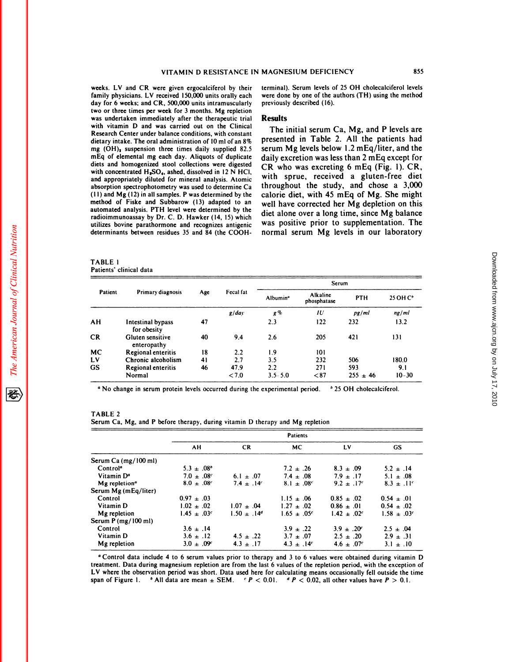**follow Family physicians.** LV and CR were given ergocal<br>ciferol by their terminity physicians. LV received 150,000 units orally each weight of the starting of the starting of the starting of the starting of the starting o **WITAMIN D RESISTANCE II**<br>weeks. LV and CR were given ergocalciferol by their<br>family physicians. LV received 150,000 units orally each<br>day for 6 weeks; and CR, 500,000 units intramuscularly<br>two or three times per week for weeks. LV and CR were given ergocalciferol by their<br>family physicians. LV received 150,000 units orally each<br>day for 6 weeks; and CR, 500,000 units intramuscularly<br>two or three times per week for 3 months. Mg repletion<br>was family physicians. LV received 150,000 units orally each day for 6 weeks; and CR, 500,000 units intramuscularly two or three times per week for 3 months. Mg repletion was undertaken immediately after the therapeutic trial family physicians. LV received 150,000 units orally each<br>day for 6 weeks; and CR, 500,000 units intramuscularly<br>two or three times per week for 3 months. Mg repletion<br>was undertaken immediately after the therapeutic trial<br> day for 6 weeks; and CR, 500,000 units intramuscularly<br>two or three times per week for 3 months. Mg repletion<br>was undertaken immediately after the therapeutic trial<br>with vitamin D and was carried out on the Clinical<br>Resear two or three times per week for 3 months. Mg repletion<br>was undertaken immediately after the therapeutic trial<br>Research Center under balance conditions, with constant<br>dietary intake. The oral administration of 10 ml of an was undertaken immediately after the therapeutic trial<br>
with vitamin D and was carried out on the Clinical<br>
Research Center under balance conditions, with constant<br>
dietary intake. The oral administration of 10 ml of an 8 with vitamin D and was carried out on the Clinical<br>Research Center under balance conditions, with constant<br>dietary intake. The oral administration of 10 ml of an 8%<br>mEq of elemental mg each day. Aliquots of duplicate<br>diet dietary intake. The oral administration of 10 ml of an 8% P<br>mg (OH)<sub>2</sub> suspension three times daily supplied 82.5 sm<br>Eq of elemental mg each day. Aliquots of duplicate<br>diets and homogenized stool collections were digested<br> mg (OH), suspension three times daily supplied 82.5 mEq of elemental mg each day. Aliquots of duplicate<br>diets and homogenized stool collections were digested<br>with concentrated H<sub>a</sub>SO<sub>4</sub>, ashed, dissolved in 12 NHCl,<br>and a diets and homogenized stool collections were digested<br>with concentrated H<sub>2</sub>SO<sub>4</sub>, ashed, dissolved in 12 N HCl,<br>and appropriately diluted for mineral analysis. Atomic<br>absorption spectrophotometry was used to determine Can diets and homogenized stool collections were digested<br>with concentrated  $H_sSO_a$ , ashed, dissolved in 12 N HCl,<br>and appropriately diluted for mineral analysis. Atomic<br>whose, and the call the call the call the call<br>(11) and with concentrated  $H<sub>a</sub>SO<sub>4</sub>$ , ashed, dissolved in 12 N HCl,<br>and appropriately diluted for mineral analysis. Atomic<br>disorption spectrophotometry was used to determine Ca<br>the fit and Mg (12) in all samples. P was det and appropriately diluted for mineral analysis. Atomic<br>absorption spectrophotometry was used to determine Ca<br>(11) and Mg (12) in all samples. P was determined by the<br>method of Fiske and Subbarow (13) adapted to an<br>automat absorption spectrophotometry was used to determine Ca<br>(11) and Mg (12) in all samples. P was determined by the<br>method of Fiske and Subbarow (13) adapted to an<br>which and salysis. PTH level were determined by the<br>radioimmun (11) and Mg (12) in all samples. P was determined by the method of Fiske and Subbarow (13) adapted to an automated analysis. PTH level were determined by the radioimmunoassay by Dr. C. D. Hawker (14, 15) which utilizes bo automated analysis. PTH level were determined by the radioimmunoassay by Dr. C. D. Hawker (14, 15) which utilizes bovine parathormone and recognizes antigenic determinants between residues 35 and 84 (the COOH-<br>TABLE 1<br>Patients' clinical data

VITAMIN D RESISTANCE IN MAGNESIUM DEFICIENCY<br>weeks. LV and CR were given ergocalciferol by their terminal). Serum levels of 25 OH cholecalciferol levels<br>family physicians. LV received 150.000 units orally each were done by MAGNESIUM DEFICIENCY<br>terminal). Serum levels of 25 OH cholecalciferol levels<br>were done by one of the authors (TH) using the method MAGNESIUM DEFICIENCY<br>terminal). Serum levels of 25 OH cholecalciferol levels<br>were done by one of the authors (TH) using the method<br>previously described (16). MAGNESIUM DEFICIER<br>terminal). Serum levels of<br>were done by one of the aut<br>previously described (16).

# **Results**

were done by one of the authors (TH) using the method<br>previously described (16).<br>**Results**<br>The initial serum Ca, Mg, and P levels are<br>presented in Table 2. All the patients had previously described (16).<br> **Results**<br>
The initial serum Ca, Mg, and P levels are<br>
presented in Table 2. All the patients had<br>
serum Mg levels below 1.2 mEq/liter, and the Results<br>The initial serum Ca, Mg, and P levels are<br>presented in Table 2. All the patients had<br>serum Mg levels below 1.2 mEq/liter, and the<br>daily excretion was less than 2 mEq except for **Results**<br>The initial serum Ca, Mg, and P levels are<br>presented in Table 2. All the patients had<br>serum Mg levels below 1.2 mEq/liter, and the<br>daily excretion was less than 2 mEq except for<br>CR who was excreting 6 mEq (Fig. The initial serum Ca, Mg, and P levels are<br>presented in Table 2. All the patients had<br>serum Mg levels below 1.2 mEq/liter, and the<br>daily excretion was less than 2 mEq except for<br>CR who was excreting 6 mEq (Fig. 1). CR,<br>wi presented in Table 2. All the patients had<br>serum Mg levels below 1.2 mEq/liter, and the<br>daily excretion was less than 2 mEq except for<br>CR who was excreting 6 mEq (Fig. 1). CR,<br>with sprue, received a gluten-free diet<br>throug serum Mg levels below 1.2 mEq/liter, and the<br>daily excretion was less than 2 mEq except for<br>CR who was excreting 6 mEq (Fig. 1). CR,<br>with sprue, received a gluten-free diet<br>throughout the study, and chose a 3,000<br>calorie daily excretion was less than 2 mEq except for<br>CR who was excreting 6 mEq (Fig. 1). CR,<br>with sprue, received a gluten-free diet<br>throughout the study, and chose a 3,000<br>calorie diet, with 45 mEq of Mg. She might<br>well have c CR who was excreting 6 mEq (Fig. 1). CR, with sprue, received a gluten-free diet throughout the study, and chose a 3,000 calorie diet, with 45 mEq of Mg. She might well have corrected her Mg depletion on this diet alone o with sprue, received a gluten-free diet<br>throughout the study, and chose a 3,000<br>calorie diet, with 45 mEq of Mg. She might<br>well have corrected her Mg depletion on this<br>diet alone over a long time, since Mg balance<br>was posi throughout the study, and chose a 3,000<br>calorie diet, with 45 mEq of Mg. She might<br>well have corrected her Mg depletion on this<br>diet alone over a long time, since Mg balance<br>was positive prior to supplementation. The<br>norma well have corrected her Mg depletion on this<br>diet alone over a long time, since Mg balance<br>was positive prior to supplementation. The<br>normal serum Mg levels in our laboratory

|           |                                  |     |           | Serum                |                         |              |                      |  |
|-----------|----------------------------------|-----|-----------|----------------------|-------------------------|--------------|----------------------|--|
| Patient   | Primary diagnosis                | Age | Fecal fat | Albumin <sup>a</sup> | Alkaline<br>phosphatase | PTH          | 25 OH C <sup>*</sup> |  |
|           |                                  |     | g/dav     | g %                  | IU                      | pq/ml        | ng/ml                |  |
| AH        | Intestinal bypass<br>for obesity | 47  |           | 2.3                  | 122                     | 232          | 13.2                 |  |
| <b>CR</b> | Gluten sensitive<br>enteropathy  | 40  | 9.4       | 2.6                  | 205                     | 421          | 131                  |  |
| <b>MC</b> | <b>Regional enteritis</b>        | 18  | 2.2       | 1.9                  | 101                     |              |                      |  |
| LV        | Chronic alcoholism               | 41  | 2.7       | 3.5                  | 232                     | 506          | 180.0                |  |
| <b>GS</b> | Regional enteritis               | 46  | 47.9      | 2.2                  | 271                     | 593          | 9.1                  |  |
|           | Normal                           |     | <7.0      | $3.5 - 5.0$          | < 87                    | $255 \pm 46$ | $10 - 30$            |  |

| <sup>a</sup> No change in serum protein levels occurred during the experimental period.  | 0.25 |
|------------------------------------------------------------------------------------------|------|
| TABLE 2<br>Serum Ca, Mg, and P before therapy, during vitamin D therapy and Mg repletion |      |

|                           | Patients                    |                       |                            |                            |                             |
|---------------------------|-----------------------------|-----------------------|----------------------------|----------------------------|-----------------------------|
|                           | AН                          | <b>CR</b>             | МC                         | LV                         | <b>GS</b>                   |
| Serum Ca (mg/100 ml)      |                             |                       |                            |                            |                             |
| Control <sup>a</sup>      | $5.3 \pm .08^{\circ}$       |                       | $7.2 \pm .26$              | $8.3 \pm .09$              | $5.2 \pm .14$               |
| Vitamin D <sup>a</sup>    | $7.0 + .08c$                | $6.1 \pm .07$         | $7.4 \pm .08$              | $7.9 \pm .17$              | $5.1 \pm .08$               |
| Mg repletion <sup>a</sup> | $8.0 \pm .08$               | $7.4 \pm .14^{\circ}$ | $8.1 \pm .08$ <sup>c</sup> | $9.2 \pm .17$ <sup>c</sup> | $8.3 \pm .11$ <sup>c</sup>  |
| Serum Mg (mEq/liter)      |                             |                       |                            |                            |                             |
| Control                   | $0.97 \pm .03$              |                       | $1.15 \pm .06$             | $0.85 + .02$               | $0.54 \pm .01$              |
| Vitamin D                 | $1.02 \pm .02$              | $1.07 + .04$          | $1.27 \pm .02$             | $0.86 + .01$               | $0.54 + 0.02$               |
| Mg repletion              | $1.45 \pm .03$ <sup>c</sup> | $1.50 + .14^d$        | $1.65 + .05^{c}$           | $1.42 \pm .02^c$           | $1.58 \pm .03$ <sup>c</sup> |
| Serum $P(mg/100 ml)$      |                             |                       |                            |                            |                             |
| Control                   | $3.6 \pm .14$               |                       | $3.9 \pm .22$              | $3.9 \pm .20^{\circ}$      | $2.5 \pm .04$               |
| Vitamin D                 | $3.6 \pm .12$               | $4.5 \pm .22$         | $3.7 \pm .07$              | $2.5 \pm .20$              | $2.9 \pm .31$               |
| Mg repletion              | $3.0 \pm .09$               | $4.3 \pm .17$         | $4.3 \pm .14$ <sup>c</sup> | $4.6 \pm .07$ <sup>c</sup> | $3.1 \pm .10$               |

<sup>a</sup> Control data include 4 to 6 serum values prior to therapy and 3 to 6 values were obtained during vitamin D treatment. Data during magnesium repletion are from the last 6 values of the repletion period, with the excepti treatment. Data during magnesium repletion are from the last 6 values of the repletion period, with the exception of LV where the observation period was short. Data used here for calculating means occasionally fell outside the time **Control data include 4 to 6 serum values prior to therapy and 3 to 6 values were obtained during vitamin treatment. Data during magnesium repletion are from the last 6 values of the repletion period, with the exception L**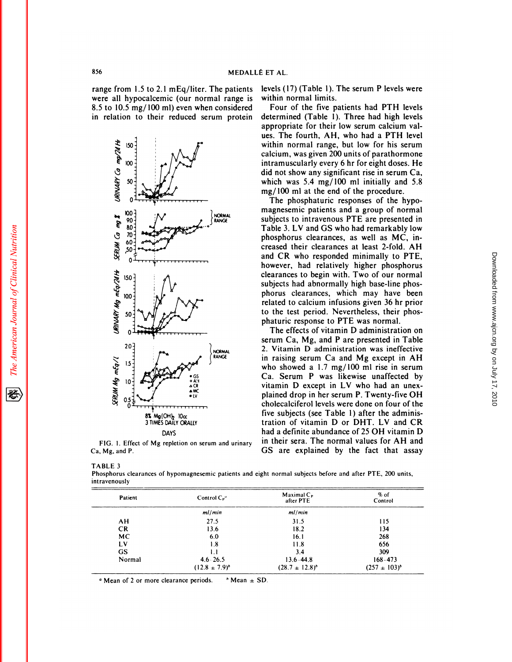856<br>
range from 1.5 to 2.1 mEq/liter. The patients levere all hypocalcemic (our normal range is wi 856 MEDALLÉ ET<br>
range from 1.5 to 2.1 mEq/liter. The patients level<br>
were all hypocalcemic (our normal range is with<br>
8.5 to 10.5 mg/100 ml) even when considered F 856<br>
range from 1.5 to 2.1 mEq/liter. The patients levere all hypocalcemic (our normal range is with<br>
8.5 to 10.5 mg/ 100 ml) even when considered<br>
in relation to their reduced serum protein de range from 1.5 to 2.1 mEq/liter. The patients lever all hypocalcemic (our normal range is with the served serum protein detail in relation to their reduced serum protein detail



Ca, Mg, and P. FIG. 1. Effect<br>Ca, Mg, and P.<br>TABLE 3<br>Phosphorus clear

ET AL.<br>levels (17) (Table 1). The serum P levels were<br>within normal limits. ET AL.<br>levels (17) (Table 1). T<br>within normal limits.<br>Four of the five pa

T AL.<br>rels (17) (Table 1). The serum P levels were<br>thin normal limits.<br>Four of the five patients had PTH levels<br>termined (Table 1). Three had high levels determined (Table 1). The serum P levels were<br>within normal limits.<br>Four of the five patients had PTH levels<br>determined (Table 1). Three had high levels<br>appropriate for their low serum calcium valwithin normal limits.<br>Four of the five patients had PTH levels<br>determined (Table 1). Three had high levels<br>appropriate for their low serum calcium val-<br>ues. The fourth, AH, who had a PTH level within normal limits.<br>Four of the five patients had PTH levels<br>determined (Table 1). Three had high levels<br>appropriate for their low serum calcium val-<br>ues. The fourth, AH, who had a PTH level<br>within normal range, but low Four of the five patients had PTH levels<br>determined (Table 1). Three had high levels<br>appropriate for their low serum calcium val-<br>ues. The fourth, AH, who had a PTH level<br>within normal range, but low for his serum<br>calcium, determined (Table 1). Three had high levels<br>appropriate for their low serum calcium val-<br>ues. The fourth, AH, who had a PTH level<br>within normal range, but low for his serum<br>calcium, was given 200 units of parathormone<br>intr appropriate for their low serum calcium values. The fourth, AH, who had a PTH level<br>within normal range, but low for his serum<br>calcium, was given 200 units of parathormone<br>intramuscularly every 6 hr for eight doses. He<br>did ues. The fourth, AH, who had a PTH level<br>within normal range, but low for his serum<br>calcium, was given 200 units of parathormone<br>intramuscularly every 6 hr for eight doses. He<br>did not show any significant rise in serum Ca, within normal range, but low for his serum<br>calcium, was given 200 units of parathormone<br>intramuscularly every 6 hr for eight doses. He<br>did not show any significant rise in serum Ca,<br>which was 5.4 mg/100 ml initially and 5. calcium, was given 200 units of parathorm<br>intramuscularly every 6 hr for eight doses<br>did not show any significant rise in serum<br>which was 5.4 mg/100 ml initially and<br>mg/100 ml at the end of the procedure.<br>The phosphaturic tramuscularly every 6 hr for eight doses. H<br>d not show any significant rise in serum C;<br>iich was 5.4 mg/100 ml initially and 5.<br>g/100 ml at the end of the procedure.<br>The phosphaturic responses of the hypo-<br>agnesemic patie did not show any significant rise in serum Ca,<br>which was 5.4 mg/100 ml initially and 5.8<br>mg/100 ml at the end of the procedure.<br>The phosphaturic responses of the hypo-<br>magnesemic patients and a group of normal<br>subjects to

which was 5.4 mg/100 ml initially and 5.8 mg/100 ml at the end of the procedure.<br>The phosphaturic responses of the hypo-<br>magnesemic patients and a group of normal<br>subjects to intravenous PTE are presented in<br>Table 3. LV a mg/100 ml at the end of the procedure.<br>The phosphaturic responses of the hypo-<br>magnesemic patients and a group of normal<br>subjects to intravenous PTE are presented in<br>Table 3. LV and GS who had remarkably low<br>phosphorus cle The phosphaturic responses of the hypo-<br>magnesemic patients and a group of normal<br>subjects to intravenous PTE are presented in<br>Table 3. LV and GS who had remarkably low<br>phosphorus clearances, as well as MC, in-<br>creased the magnesemic patients and a group of normal<br>subjects to intravenous PTE are presented in<br>Table 3. LV and GS who had remarkably low<br>phosphorus clearances, as well as MC, in-<br>creased their clearances at least 2-fold. AH<br>and CR subjects to intravenous PTE are presented in<br>Table 3. LV and GS who had remarkably low<br>phosphorus clearances, as well as MC, in-<br>creased their clearances at least 2-fold. AH<br>and CR who responded minimally to PTE,<br>however, Table 3. LV and GS who had remarkably low<br>phosphorus clearances, as well as MC, in-<br>creased their clearances at least 2-fold. AH<br>and CR who responded minimally to PTE,<br>however, had relatively higher phosphorus<br>clearances t phosphorus clearances, as well as MC, in-<br>creased their clearances at least 2-fold. AH<br>and CR who responded minimally to PTE,<br>however, had relatively higher phosphorus<br>clearances to begin with. Two of our normal<br>subjects h creased their clearances at least 2-fold. Aland CR who responded minimally to PTE<br>however, had relatively higher phosphoru<br>clearances to begin with. Two of our norma<br>subjects had abnormally high base-line phos<br>phorus clear and CR who responded minimally to PTE,<br>however, had relatively higher phosphorus<br>clearances to begin with. Two of our normal<br>subjects had abnormally high base-line phos-<br>phorus clearances, which may have been<br>related to ca however, had relatively higher phosphorus<br>clearances to begin with. Two of our normal<br>subjects had abnormally high base-line phos-<br>phorus clearances, which may have been<br>related to calcium infusions given 36 hr prior<br>to th clearances to begin with. Two of our normal<br>subjects had abnormally high base-line phos-<br>phorus clearances, which may have been<br>related to calcium infusions given 36 hr prior<br>to the test period. Nevertheless, their phos-<br>p to the test period. Nevertheless, their phos-<br>phaturic response to PTE was normal.<br>The effects of vitamin D administration on orus clearances, which may have been<br>lated to calcium infusions given 36 hr prior<br>the test period. Nevertheless, their phos-<br>aturic response to PTE was normal.<br>The effects of vitamin D administration on<br>rum Ca, Mg, and P a related to calcium infusions given 36 hr prior<br>to the test period. Nevertheless, their phos-<br>phaturic response to PTE was normal.<br>The effects of vitamin D administration on<br>serum Ca, Mg, and P are presented in Table<br>2. Vit

3 TIMES DAILY ORALLY<br>DAYS DAILY ORALLY tration of vitamin D or DHT. LV and CR<br>FIG. 1. Effect of Mg repletion on serum and urinary in their sera. The normal values for AH and<br>GS are explained by the fact that assay to the test period. Nevertheless, their phos-<br>phaturic response to PTE was normal.<br>The effects of vitamin D administration on<br>serum Ca, Mg, and P are presented in Table<br>2. Vitamin D administration was ineffective<br>in raisin phaturic response to PTE was normal.<br>The effects of vitamin D administration on<br>serum Ca, Mg, and P are presented in Table<br>2. Vitamin D administration was ineffective<br>in raising serum Ca and Mg except in AH<br>who showed a 1. The effects of vitamin D administration on<br>serum Ca, Mg, and P are presented in Table<br>2. Vitamin D administration was ineffective<br>in raising serum Ca and Mg except in AH<br>who showed a 1.7 mg/100 ml rise in serum<br>Ca. Serum serum Ca, Mg, and P are presented in Table<br>2. Vitamin D administration was ineffective<br>in raising serum Ca and Mg except in AH<br>who showed a 1.7 mg/100 ml rise in serum<br>Ca. Serum P was likewise unaffected by<br>vitamin D excep 2. Vitamin D administration was ineffectively in raising serum Ca and Mg except in Al who showed a  $1.7 \text{ mg}/100 \text{ ml}$  rise in serum Ca. Serum P was likewise unaffected b vitamin D except in LV who had an unex plained drop in raising serum Ca and Mg except in AH<br>who showed a 1.7 mg/100 ml rise in serum<br>Ca. Serum P was likewise unaffected by<br>vitamin D except in LV who had an unex-<br>plained drop in her serum P. Twenty-five OH<br>cholecalciferol l who showed a 1.7 mg/100 ml rise in serum<br>Ca. Serum P was likewise unaffected by<br>vitamin D except in LV who had an unex-<br>plained drop in her serum P. Twenty-five OH<br>cholecalciferol levels were done on four of the Ca. Serum P was likewise unaffected by vitamin D except in LV who had an unexplained drop in her serum P. Twenty-five OH<br>cholecalciferol levels were done on four of the<br>five subjects (see Table 1) after the adminis-<br>tration of vitamin D or DHT. LV and CR<br>had a definite abundance of 25 OH vitamin D<br> cholecalciferol levels were done on four of the<br>five subjects (see Table 1) after the adminis-<br>tration of vitamin D or DHT. LV and CR<br>had a definite abundance of 25 OH vitamin D<br>in their sera. The normal values for AH and<br> five subjects (see Table 1) after the administration of vitamin D or DHT. LV and CR<br>had a definite abundance of 25 OH vitamin D<br>in their sera. The normal values for AH and<br>GS are explained by the fact that assay

FIG. 1. Effect of Mg repletion on serum and urinary<br>Ca, Mg, and P.<br>TABLE 3<br>Phosphorus clearances of hypomagnesemic patients and eight normal subjects before and after PTE, 200 units,<br>intravenously intravenously

| Patient   | Control $C_{P}$ "        | Maximal $C_P$<br>after PTE | % of<br>Control   |
|-----------|--------------------------|----------------------------|-------------------|
|           | ml/min                   | ml/min                     |                   |
| AH        | 27.5                     | 31.5                       | 115               |
| <b>CR</b> | 13.6                     | 18.2                       | 134               |
| <b>MC</b> | 6.0                      | 16.1                       | 268               |
| LV        | 1.8                      | 11.8                       | 656               |
| <b>GS</b> | 1.1                      | 3.4                        | 309               |
| Normal    | $4.6 - 26.5$             | $13.6 - 44.8$              | $168 - 473$       |
|           | $(12.8 \pm 7.9)^{\circ}$ | $(28.7 \pm 12.8)^{6}$      | $(257 \pm 103)^b$ |

Mean of 2 or more clearance periods. 'Mean **<sup>±</sup>** SD.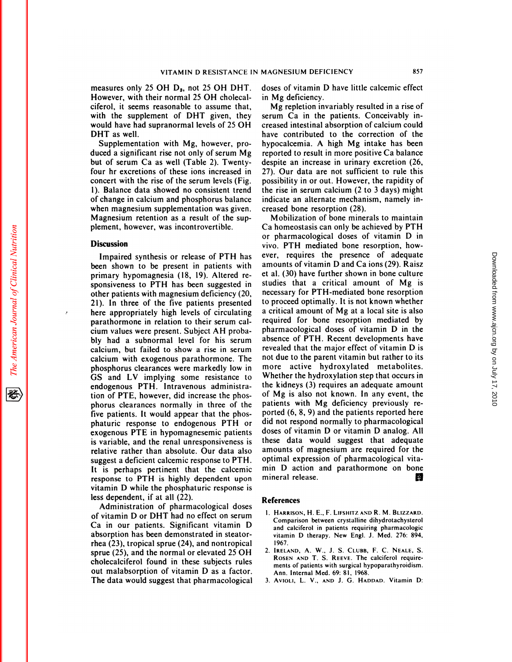VITAMIN D RESISTANC<br>
measures only 25 OH D<sub>3</sub>, not 25 OH DH<br>
However, with their normal 25 OH cholec<br>
ciferol, it seems reasonable to assume th VITAMIN D RESISTANCE IN<br>measures only 25 OH D<sub>3</sub>, not 25 OH DHT.<br>However, with their normal 25 OH cholecal-<br>ciferol, it seems reasonable to assume that,<br>with the supplement of DHT given, they measures only 25 OH  $D_3$ , not 25 OH DHT. do:<br>However, with their normal 25 OH cholecal-<br>ciferol, it seems reasonable to assume that,<br>with the supplement of DHT given, they ser<br>would have had supranormal levels of 25 OH c measures only 25 OH D<sub>3</sub>, not 25 OH DHT. doses<br>However, with their normal 25 OH cholecal-<br>ciferol, it seems reasonable to assume that, Mg<br>with the supplement of DHT given, they serum<br>would have had supranormal levels of 25 However, with their normal 25 OH cholecal-<br>ciferol, it seems reasonable to assume that,<br>with the supplement of DHT given, they<br>would have had supranormal levels of 25 OH<br>DHT as well.<br>Supplementation with Mg, however, pro-First examplement of DHT given, they<br>the the supplement of DHT given, they<br>and have had supranormal levels of 25 OH<br>HT as well.<br>Supplementation with Mg, however, pro-<br>ced a significant rise not only of serum Mg with the supplement of DHT given, they<br>would have had supranormal levels of 25 OH crea<br>DHT as well.<br>Supplementation with Mg, however, pro-<br>hyp<br>duced a significant rise not only of serum Mg repo<br>but of serum Ca as well (Tab would have had supranormal levels of 25 OH<br>DHT as well.<br>Supplementation with Mg, however, pro-<br>duced a significant rise not only of serum Mg

by the Bupplementation with Mg, however, pro-<br>duced a significant rise not only of serum Mg<br>but of serum Ca as well (Table 2). Twenty-<br>four hr excretions of these ions increased in 27).<br>concert with the rise of the serum l Supplementation with Mg, however, pro-<br>duced a significant rise not only of serum Mg<br>but of serum Ca as well (Table 2). Twenty-<br>four hr excretions of these ions increased in<br>concert with the rise of the serum levels (Fig.<br> duced a significant rise not only of serum Mg<br>but of serum Ca as well (Table 2). Twenty-<br>des<br>four hr excretions of these ions increased in 27)<br>concert with the rise of the serum levels (Fig. pos<br>1). Balance data showed no but of serum Ca as well (Table 2). Twenty-<br>four hr excretions of these ions increased in 27<br>concert with the rise of the serum levels (Fig. po-<br>1). Balance data showed no consistent trend the<br>of change in calcium and phosp four hr excretions of these ions increased in concert with the rise of the serum levels (Fig. 1). Balance data showed no consistent trend of change in calcium and phosphorus balance when magnesium supplementation was given concert with the rise of the serum levels (Fig.<br>1). Balance data showed no consistent trend<br>of change in calcium and phosphorus balance<br>when magnesium supplementation was given.<br>Magnesium retention as a result of the sup-<br> 1). Balance data showed no consisten<br>of change in calcium and phosphorus l<br>when magnesium supplementation was<br>Magnesium retention as a result of the<br>plement, however, was incontrovertibl agnesium retention as a result of the sup-<br>
Impaired synthesis or release of PTH has<br>
en shown to be present in patients with am

# **Discussion**

plement, however, was incontrovertible. Ca<br> **Discussion** vive<br>
Impaired synthesis or release of PTH has eve<br>
been shown to be present in patients with am-<br>
primary hypomagnesia (18, 19). Altered re-**Discussion**<br>Impaired synthesis or release of PTH has<br>been shown to be present in patients with<br>primary hypomagnesia (18, 19). Altered re-<br>sponsiveness to PTH has been suggested in buscussion<br>Impaired synthesis or release of PTH has<br>been shown to be present in patients with amo<br>primary hypomagnesia (18, 19). Altered re-<br>sponsiveness to PTH has been suggested in stud<br>other patients with magnesium defi Impaired synthesis or release of PTH has<br>been shown to be present in patients with<br>primary hypomagnesia (18, 19). Altered re-<br>sponsiveness to PTH has been suggested in<br>other patients with magnesium deficiency (20,<br>21). In been shown to be present in patients with an<br>primary hypomagnesia (18, 19). Altered re-<br>sponsiveness to PTH has been suggested in studient patients with magnesium deficiency (20, ne<br>21). In three of the five patients prese primary hypomagnesia (18, 19). Altered re-<br>sponsiveness to PTH has been suggested in<br>other patients with magnesium deficiency (20, n<br>21). In three of the five patients presented there appropriately high levels of circulat sponsiveness to PTH has been suggested in<br>other patients with magnesium deficiency (20,<br>21). In three of the five patients presented<br>here appropriately high levels of circulating<br>parathormone in relation to their serum cal other patients with magnesium deficiency (2<br>21). In three of the five patients present<br>here appropriately high levels of circulati<br>parathormone in relation to their serum c:<br>cium values were present. Subject AH prob<br>bly ha 21). In three of the five patients presented to prochere appropriately high levels of circulating a critic parathormone in relation to their serum cal-<br>parathormone in relation to their serum cal-<br>bly had a subnormal level here appropriately high levels of circulating a critical amount of Mg at a local site is also<br>parathormone in relation to their serum cal-<br>cium values were present. Subject AH proba-<br>bly had a subnormal level for his serum parathormone in relation to their serum cal-<br>cium values were present. Subject AH proba-<br>bly had a subnormal level for his serum absorption, but failed to show a rise in serum rever<br>calcium with exogenous parathormone. The cium values were present. Subject AH proba-<br>bly had a subnormal level for his serum abse<br>calcium, but failed to show a rise in serum reve<br>calcium with exogenous parathormone. The not of<br>phosphorus clearances were markedly bly had a subnormal level for his serum abse<br>calcium, but failed to show a rise in serum reve<br>calcium with exogenous parathormone. The not of<br>phosphorus clearances were markedly low in mor<br>GS and LV implying some resistanc calcium, but failed to show a rise in seru<br>calcium with exogenous parathormone. T<br>phosphorus clearances were markedly low<br>GS and LV implying some resistance<br>endogenous PTH. Intravenous administi<br>tion of PTE, however, did i calcium with exogenous parathormone. Th<br>phosphorus clearances were markedly low is<br>GS and LV implying some resistance the<br>endogenous PTH. Intravenous administra<br>tion of PTE, however, did increase the phos<br>phorus clearances phosphorus clearances were markedly low in motor<br>GS and LV implying some resistance to Whe<br>endogenous PTH. Intravenous administration of PTE, however, did increase the phos-<br>phorus clearances normally in three of the pati-GS and LV implying some resistance to endogenous PTH. Intravenous administration of PTE, however, did increase the phos-<br>phorus clearances normally in three of the five patients. It would appear that the phos-<br>phaturic res endogenous PTH. Intravenous administration of PTE, however, did increase the phos-<br>phorus clearances normally in three of the P<br>five patients. It would appear that the phos-<br>phaturic response to endogenous PTH or dexogenou tion of PTE, however, did increase the phos-<br>phorus clearances normally in three of the<br>five patients. It would appear that the phos-<br>phaturic response to endogenous PTH or di<br>exogenous PTE in hypomagnesemic patients de<br>is phorus clearances normally in three of the patifive patients. It would appear that the phos-<br>phaturic response to endogenous PTH or did<br>exogenous PTE in hypomagnesemic patients doss<br>is variable, and the renal unresponsiven five patients. It would appear that the phos-<br>phaturic response to endogenous PTH or did<br>exogenous PTE in hypomagnesemic patients dose<br>is variable, and the renal unresponsiveness is thes<br>relative rather than absolute. Our phaturic response to endogenous PTH or<br>exogenous PTE in hypomagnesemic patients<br>is variable, and the renal unresponsiveness is<br>relative rather than absolute. Our data also<br>suggest a deficient calcemic response to PTH.<br>It i exogenous PTE in hypomagnesemic patients disvariable, and the renal unresponsiveness is the relative rather than absolute. Our data also also also also also also that the calcemic response to PTH. This highly dependent up is variable, and the renal unresponsiveness is<br>relative rather than absolute. Our data also ame<br>suggest a deficient calcemic response to PTH. Opt<br>It is perhaps pertinent that the calcemic min<br>response to PTH is highly depe relative rather than absolute. Our data also amounts of magnesum are required for the suggest a deficient calcemic response to PTH. optimal expression of pharmacological vita-<br>It is perhaps pertinent that the calcemic min suggest a deficient calcemic response to PTH is highly de<br>response to PTH is highly de<br>vitamin D while the phosphatu<br>less dependent, if at all (22).<br>Administration of pharmace is perhaps pertinent that the calcemic mi<br>sponse to PTH is highly dependent upon mi<br>amin D while the phosphaturic response is<br>s dependent, if at all (22).<br>Administration of pharmacological doses<br>vitamin D or DHT had no ef

response to PTH is highly dependent upon minera<br>vitamin D while the phosphaturic response is<br>less dependent, if at all (22).<br>Administration of pharmacological doses<br>of vitamin D or DHT had no effect on serum<br>Ca in our pat Administration of pharmacological doses<br>
of vitamin D or DHT had no effect on serum<br>
Ca in our patients. Significant vitamin D<br>
and calciferol in patients requiring pharmacologic<br>
absorption has been demonstrated in steato less dependent, if at all (22).<br>Administration of pharmacological dos<br>of vitamin D or DHT had no effect on seru<br>Ca in our patients. Significant vitamin<br>absorption has been demonstrated in steator<br>thea (23), tropical sprue Administration of pharmacological dose<br>of vitamin D or DHT had no effect on serun<br>Ca in our patients. Significant vitamin I<br>absorption has been demonstrated in steator<br>rhea (23), tropical sprue (24), and nontropica<br>sprue ( of vitamin D or DHT had no effect on serum<br>
Ca in our patients. Significant vitamin D<br>
absorption has been demonstrated in steator-<br>
rhea (23), tropical sprue (24), and nontropical<br>
sprue (25), and the normal or elevated Ca in our patients. Significant vitamin D<br>absorption has been demonstrated in steator-<br>rhea (23), tropical sprue (24), and nontropical<br>sprue (25), and the normal or elevated 25 OH<br>cholecalciferol found in these subjects r absorption has been demonstrated in steator-<br>rhea (23), tropical sprue (24), and nontropical<br>sprue (25), and the normal or elevated 25 OH<br>cholecalciferol found in these subjects rules<br>out malabsorption of vitamin D as a fa The data (23), tropical sprue (24), and nontropis<br>sprue (25), and the normal or elevated 25 C<br>cholecalciferol found in these subjects ru<br>out malabsorption of vitamin D as a fact<br>The data would suggest that pharmacologie

VITAMIN D RESISTANCE IN MAGNESIUM DEFICIENCY<br>measures only 25 OH D<sub>3</sub>, not 25 OH DHT. doses of vitamin D have little calcemic effect<br>However, with their normal 25 OH cholecal- in Mg deficiency. MAGNESIUM DEFICIENCY<br>doses of vitamin D have little calcemic effect<br>in Mg deficiency. SONESIUM DEFICIENCY<br>ses of vitamin D have little calcemic effect<br>Mg deficiency.<br>Mg repletion invariably resulted in a rise of<br>um Ca in the patients. Conceivably in-

serve and the patients.<br>
doses of vitamin D have little calcemic effect<br>
in Mg deficiency.<br>
Mg repletion invariably resulted in a rise of<br>
serum Ca in the patients. Conceivably in-<br>
creased intestinal absorption of calcium doses of vitamin D have little calcemic effect<br>in Mg deficiency.<br>Mg repletion invariably resulted in a rise of<br>serum Ca in the patients. Conceivably in-<br>creased intestinal absorption of calcium could<br>have contributed to th in Mg deficiency.<br>
Mg repletion invariably resulted in a rise of<br>
serum Ca in the patients. Conceivably in-<br>
creased intestinal absorption of calcium could<br>
have contributed to the correction of the<br>
hypocalcemia. A high M Mg repletion invariably resulted in a rise of<br>serum Ca in the patients. Conceivably in-<br>creased intestinal absorption of calcium could<br>have contributed to the correction of the<br>hypocalcemia. A high Mg intake has been<br>repor serum Ca in the patients. Conceivably increased intestinal absorption of calcium could<br>have contributed to the correction of the<br>hypocalcemia. A high Mg intake has been<br>reported to result in more positive Ca balance<br>despite an increase in urinary excretion (26,<br> have contributed to the correction of the<br>hypocalcemia. A high Mg intake has been<br>reported to result in more positive Ca balance<br>despite an increase in urinary excretion (26,<br>27). Our data are not sufficient to rule this<br>p hypocalcemia. A high Mg intake has been reported to result in more positive Ca balance despite an increase in urinary excretion (26, creased bone resorption (28). ssibility in or out. However, the rapidity of<br>e rise in serum calcium (2 to 3 days) might<br>licate an alternate mechanism, namely in-<br>ased bone resorption (28).<br>Mobilization of bone minerals to maintain<br>homeostasis can only the rise in serum calcium (2 to 3 days) might<br>indicate an alternate mechanism, namely in-<br>creased bone resorption (28).<br>Mobilization of bone minerals to maintain<br>Ca homeostasis can only be achieved by PTH<br>or pharmacologic

indicate an alternate mechanism, namely in-<br>creased bone resorption (28).<br>Mobilization of bone minerals to maintain<br>Ca homeostasis can only be achieved by PTH<br>or pharmacological doses of vitamin D in<br>vivo. PTH mediated bon creased bone resorption (28).<br>
Mobilization of bone minerals to maintain<br>
Ca homeostasis can only be achieved by PTH<br>
or pharmacological doses of vitamin D ir<br>
vivo. PTH mediated bone resorption, how-<br>
ever, requires the p Mobilization of bone minerals to maintain<br>Ca homeostasis can only be achieved by PTH<br>or pharmacological doses of vitamin D in<br>vivo. PTH mediated bone resorption, how-<br>ever, requires the presence of adequate<br>amounts of vita Ca homeostasis can only be achieved by PTH<br>or pharmacological doses of vitamin D in<br>vivo. PTH mediated bone resorption, how-<br>ever, requires the presence of adequate<br>amounts of vitamin D and Ca ions (29). Raisz<br>et al. (30) or pharmacological doses of vitamin D in<br>vivo. PTH mediated bone resorption, how-<br>ever, requires the presence of adequate<br>amounts of vitamin D and Ca ions (29). Raisz<br>et al. (30) have further shown in bone culture<br>studies vivo. PTH mediated bone resorption, how-<br>ever, requires the presence of adequate<br>amounts of vitamin D and Ca ions (29). Raisz<br>et al. (30) have further shown in bone culture<br>studies that a critical amount of Mg is<br>necessary ever, requires the presence of adequate<br>amounts of vitamin D and Ca ions (29). Raisz<br>et al. (30) have further shown in bone culture<br>studies that a critical amount of Mg is<br>necessary for PTH-mediated bone resorption<br>to proc amounts of vitamin D and Ca ions (29). Raisz<br>et al. (30) have further shown in bone culture<br>studies that a critical amount of Mg is<br>necessary for PTH-mediated bone resorption<br>to proceed optimally. It is not known whether<br>a et al. (30) have further shown in bone culture<br>studies that a critical amount of Mg is<br>necessary for PTH-mediated bone resorption<br>to proceed optimally. It is not known whether<br>a critical amount of Mg at a local site is als studies that a critical amount of Mg is<br>necessary for PTH-mediated bone resorption<br>to proceed optimally. It is not known whether<br>a critical amount of Mg at a local site is also<br>required for bone resorption mediated by<br>phar necessary for PTH-mediated bone resorption<br>to proceed optimally. It is not known whether<br>a critical amount of Mg at a local site is also<br>required for bone resorption mediated by<br>pharmacological doses of vitamin D in the<br>ab to proceed optimally. It is not known whether<br>a critical amount of Mg at a local site is also<br>required for bone resorption mediated by<br>pharmacological doses of vitamin D in the<br>absence of PTH. Recent developments have<br>reve a critical amount of Mg at a local site is also<br>required for bone resorption mediated by<br>pharmacological doses of vitamin D in the<br>absence of PTH. Recent developments have<br>revealed that the major effect of vitamin D is<br>not required for bone resorption mediated by<br>pharmacological doses of vitamin D in the<br>absence of PTH. Recent developments have<br>revealed that the major effect of vitamin D is<br>not due to the parent vitamin but rather to its<br>mor pharmacological doses of vitamin D in th<br>absence of PTH. Recent developments hav<br>revealed that the major effect of vitamin D i<br>not due to the parent vitamin but rather to it<br>more active hydroxylated metabolites<br>Whether the absence of PTH. Recent developments have<br>revealed that the major effect of vitamin D is<br>not due to the parent vitamin but rather to its<br>more active hydroxylated metabolites.<br>Whether the hydroxylation step that occurs in<br>th revealed that the major effect of vitamin D is<br>not due to the parent vitamin but rather to its<br>more active hydroxylated metabolites.<br>Whether the hydroxylation step that occurs in<br>the kidneys (3) requires an adequate amount not due to the parent vitamin but rather to its<br>more active hydroxylated metabolites.<br>Whether the hydroxylation step that occurs in<br>the kidneys (3) requires an adequate amount<br>of Mg is also not known. In any event, the<br>pat more active hydroxylated metabolites.<br>Whether the hydroxylation step that occurs in<br>the kidneys (3) requires an adequate amount<br>of Mg is also not known. In any event, the<br>patients with Mg deficiency previously re-<br>ported Whether the hydroxylation step that occurs in<br>the kidneys (3) requires an adequate amount<br>of Mg is also not known. In any event, the<br>patients with Mg deficiency previously re-<br>ported (6, 8, 9) and the patients reported he the kidneys (3) requires an adequate amout of Mg is also not known. In any event, the patients with Mg deficiency previously ported (6, 8, 9) and the patients reported hold not respond normally to pharmacologi doses of vit of Mg is also not known. In any event, the<br>patients with Mg deficiency previously re-<br>ported (6, 8, 9) and the patients reported here<br>did not respond normally to pharmacological<br>doses of vitamin D or vitamin D analog. All<br> patients with Mg deficiency previously re-<br>ported (6, 8, 9) and the patients reported here<br>did not respond normally to pharmacological<br>doses of vitamin D or vitamin D analog. All<br>these data would suggest that adequate<br>amou ported (6, 8, 9) and the patients reported here<br>did not respond normally to pharmacological<br>doses of vitamin D or vitamin D analog. All<br>these data would suggest that adequate<br>amounts of magnesium are required for the<br>optim did not respond normally to pharmacological<br>doses of vitamin D or vitamin D analog. All<br>these data would suggest that adequate<br>amounts of magnesium are required for the<br>optimal expression of pharmacological vita-<br>min D act doses of vitamin D or vitamin D analog. All<br>these data would suggest that adequate<br>amounts of magnesium are required for the<br>optimal expression of pharmacological vita-<br>min D action and parathormone on bone<br>mineral release amounts of magnesium are required for the<br>optimal expression of pharmacological vita-<br>min D action and parathormone on bone<br>mineral release. ver,requires the presence of adequate<br> **Altitude** that a critical amount of Mg is<br>
tat. (30) have further shown in bone culture<br>
cecessary for PTH-mediated bone resorption<br>
or proceed optimally. It is not known whether<br>
c

## **References**

- Comparison between crystalline dihydrotachysterol **Erences**<br>HARRISON, H. E., F. LIFSHITZ AND R. M. BLIZZARD.<br>Comparison between crystalline dihydrotachysterol<br>and calciferol in patients requiring pharmacologic<br>vitamin D therapy. New Engl. J. Med. 276: 894, HARRISON, H. E., F. LIFSHITZ AND R. M. BLIZZARD.<br>Comparison between crystalline dihydrotachysterol<br>and calciferol in patients requiring pharmacologic<br>vitamin D therapy. New Engl. J. Med. 276: 894,<br>1967. Comparison between crystalline dihydrotachysterol<br>and calciferol in patients requiring pharmacologic<br>vitamin D therapy. New Engl. J. Med. 276: 894,<br>1967.<br>**REELAND, A. W., J. S. CLUBB, F. C. NEALE, S.**<br>ROSEN AND T. S. REEVE
- vitamin D therapy. New Engl. J. Med. 276: 1<br>1967.<br>IRELAND, A. W., J. S. CLUBB, F. C. NEALE<br>ROSEN AND T. S. REEVE. The calciferol requents of patients with surgical hypoparathyroidi<br>Ann. Internal Med. 69: 81, 1968. 1967.<br>IRELAND, A. W., J. S. CLUBB, F. C.<br>ROSEN AND T. S. REEVE. The calcifer<br>ments of patients with surgical hypopara<br>Ann. Internal Med. 69: 81, 1968.<br>Avioli, L. V., AND J. G. HADDAD.
-